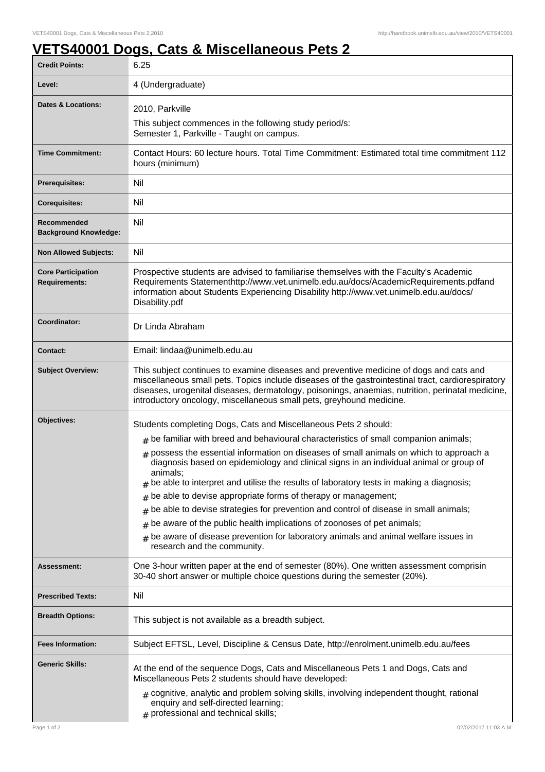## **VETS40001 Dogs, Cats & Miscellaneous Pets 2**

| <b>Credit Points:</b>                             | 6.25                                                                                                                                                                                                                                                                                                                                                                                                                                                                                                                                                                                                                                                                                                                                                                                                                                |
|---------------------------------------------------|-------------------------------------------------------------------------------------------------------------------------------------------------------------------------------------------------------------------------------------------------------------------------------------------------------------------------------------------------------------------------------------------------------------------------------------------------------------------------------------------------------------------------------------------------------------------------------------------------------------------------------------------------------------------------------------------------------------------------------------------------------------------------------------------------------------------------------------|
| Level:                                            | 4 (Undergraduate)                                                                                                                                                                                                                                                                                                                                                                                                                                                                                                                                                                                                                                                                                                                                                                                                                   |
| <b>Dates &amp; Locations:</b>                     | 2010, Parkville                                                                                                                                                                                                                                                                                                                                                                                                                                                                                                                                                                                                                                                                                                                                                                                                                     |
|                                                   | This subject commences in the following study period/s:<br>Semester 1, Parkville - Taught on campus.                                                                                                                                                                                                                                                                                                                                                                                                                                                                                                                                                                                                                                                                                                                                |
| <b>Time Commitment:</b>                           | Contact Hours: 60 lecture hours. Total Time Commitment: Estimated total time commitment 112<br>hours (minimum)                                                                                                                                                                                                                                                                                                                                                                                                                                                                                                                                                                                                                                                                                                                      |
| <b>Prerequisites:</b>                             | Nil                                                                                                                                                                                                                                                                                                                                                                                                                                                                                                                                                                                                                                                                                                                                                                                                                                 |
| <b>Corequisites:</b>                              | Nil                                                                                                                                                                                                                                                                                                                                                                                                                                                                                                                                                                                                                                                                                                                                                                                                                                 |
| Recommended<br><b>Background Knowledge:</b>       | Nil                                                                                                                                                                                                                                                                                                                                                                                                                                                                                                                                                                                                                                                                                                                                                                                                                                 |
| <b>Non Allowed Subjects:</b>                      | Nil                                                                                                                                                                                                                                                                                                                                                                                                                                                                                                                                                                                                                                                                                                                                                                                                                                 |
| <b>Core Participation</b><br><b>Requirements:</b> | Prospective students are advised to familiarise themselves with the Faculty's Academic<br>Requirements Statementhttp://www.vet.unimelb.edu.au/docs/AcademicRequirements.pdfand<br>information about Students Experiencing Disability http://www.vet.unimelb.edu.au/docs/<br>Disability.pdf                                                                                                                                                                                                                                                                                                                                                                                                                                                                                                                                          |
| Coordinator:                                      | Dr Linda Abraham                                                                                                                                                                                                                                                                                                                                                                                                                                                                                                                                                                                                                                                                                                                                                                                                                    |
| <b>Contact:</b>                                   | Email: lindaa@unimelb.edu.au                                                                                                                                                                                                                                                                                                                                                                                                                                                                                                                                                                                                                                                                                                                                                                                                        |
| <b>Subject Overview:</b>                          | This subject continues to examine diseases and preventive medicine of dogs and cats and<br>miscellaneous small pets. Topics include diseases of the gastrointestinal tract, cardiorespiratory<br>diseases, urogenital diseases, dermatology, poisonings, anaemias, nutrition, perinatal medicine,<br>introductory oncology, miscellaneous small pets, greyhound medicine.                                                                                                                                                                                                                                                                                                                                                                                                                                                           |
| Objectives:                                       | Students completing Dogs, Cats and Miscellaneous Pets 2 should:<br>$*$ be familiar with breed and behavioural characteristics of small companion animals;<br>$#$ possess the essential information on diseases of small animals on which to approach a<br>diagnosis based on epidemiology and clinical signs in an individual animal or group of<br>animals;<br>be able to interpret and utilise the results of laboratory tests in making a diagnosis;<br>#<br>be able to devise appropriate forms of therapy or management;<br>#<br>be able to devise strategies for prevention and control of disease in small animals;<br>#<br>be aware of the public health implications of zoonoses of pet animals;<br>#<br>be aware of disease prevention for laboratory animals and animal welfare issues in<br>research and the community. |
| Assessment:                                       | One 3-hour written paper at the end of semester (80%). One written assessment comprisin<br>30-40 short answer or multiple choice questions during the semester (20%).                                                                                                                                                                                                                                                                                                                                                                                                                                                                                                                                                                                                                                                               |
| <b>Prescribed Texts:</b>                          | Nil                                                                                                                                                                                                                                                                                                                                                                                                                                                                                                                                                                                                                                                                                                                                                                                                                                 |
| <b>Breadth Options:</b>                           | This subject is not available as a breadth subject.                                                                                                                                                                                                                                                                                                                                                                                                                                                                                                                                                                                                                                                                                                                                                                                 |
| <b>Fees Information:</b>                          | Subject EFTSL, Level, Discipline & Census Date, http://enrolment.unimelb.edu.au/fees                                                                                                                                                                                                                                                                                                                                                                                                                                                                                                                                                                                                                                                                                                                                                |
| <b>Generic Skills:</b>                            | At the end of the sequence Dogs, Cats and Miscellaneous Pets 1 and Dogs, Cats and<br>Miscellaneous Pets 2 students should have developed:<br>$#$ cognitive, analytic and problem solving skills, involving independent thought, rational<br>enquiry and self-directed learning;<br># professional and technical skills;                                                                                                                                                                                                                                                                                                                                                                                                                                                                                                             |